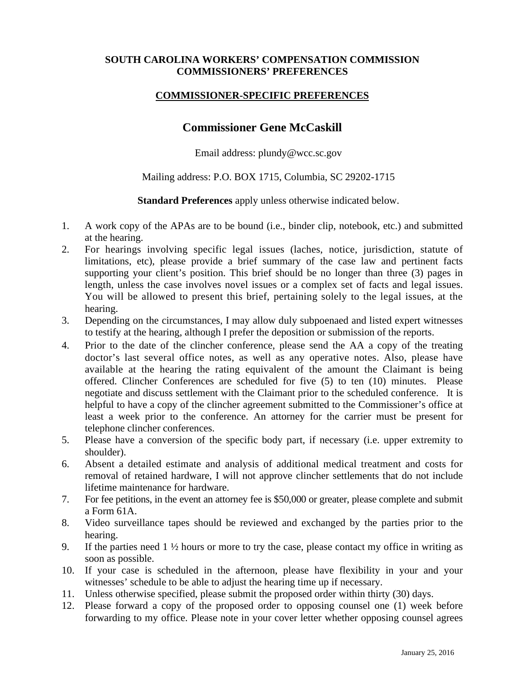## **SOUTH CAROLINA WORKERS' COMPENSATION COMMISSION COMMISSIONERS' PREFERENCES**

## **COMMISSIONER-SPECIFIC PREFERENCES**

## **Commissioner Gene McCaskill**

Email address: plundy@wcc.sc.gov

## Mailing address: P.O. BOX 1715, Columbia, SC 29202-1715

**Standard Preferences** apply unless otherwise indicated below.

- 1. A work copy of the APAs are to be bound (i.e., binder clip, notebook, etc.) and submitted at the hearing.
- 2. For hearings involving specific legal issues (laches, notice, jurisdiction, statute of limitations, etc), please provide a brief summary of the case law and pertinent facts supporting your client's position. This brief should be no longer than three (3) pages in length, unless the case involves novel issues or a complex set of facts and legal issues. You will be allowed to present this brief, pertaining solely to the legal issues, at the hearing.
- 3. Depending on the circumstances, I may allow duly subpoenaed and listed expert witnesses to testify at the hearing, although I prefer the deposition or submission of the reports.
- 4. Prior to the date of the clincher conference, please send the AA a copy of the treating doctor's last several office notes, as well as any operative notes. Also, please have available at the hearing the rating equivalent of the amount the Claimant is being offered. Clincher Conferences are scheduled for five (5) to ten (10) minutes. Please negotiate and discuss settlement with the Claimant prior to the scheduled conference. It is helpful to have a copy of the clincher agreement submitted to the Commissioner's office at least a week prior to the conference. An attorney for the carrier must be present for telephone clincher conferences.
- 5. Please have a conversion of the specific body part, if necessary (i.e. upper extremity to shoulder).
- 6. Absent a detailed estimate and analysis of additional medical treatment and costs for removal of retained hardware, I will not approve clincher settlements that do not include lifetime maintenance for hardware.
- 7. For fee petitions, in the event an attorney fee is \$50,000 or greater, please complete and submit a Form 61A.
- 8. Video surveillance tapes should be reviewed and exchanged by the parties prior to the hearing.
- 9. If the parties need  $1 \frac{1}{2}$  hours or more to try the case, please contact my office in writing as soon as possible.
- 10. If your case is scheduled in the afternoon, please have flexibility in your and your witnesses' schedule to be able to adjust the hearing time up if necessary.
- 11. Unless otherwise specified, please submit the proposed order within thirty (30) days.
- 12. Please forward a copy of the proposed order to opposing counsel one (1) week before forwarding to my office. Please note in your cover letter whether opposing counsel agrees